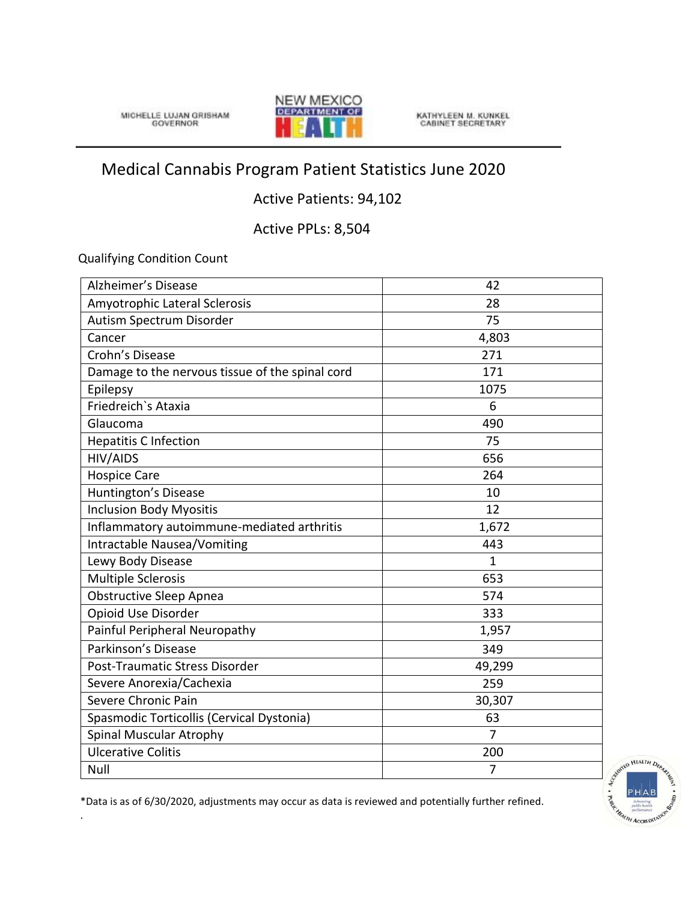MICHELLE LUJAN GRISHAM



KATHYLEEN M. KUNKEL<br>CABINET SECRETARY

## Medical Cannabis Program Patient Statistics June 2020

## Active Patients: 94,102

Active PPLs: 8,504

Qualifying Condition Count

.

| Alzheimer's Disease                             | 42             |
|-------------------------------------------------|----------------|
| Amyotrophic Lateral Sclerosis                   | 28             |
| Autism Spectrum Disorder                        | 75             |
| Cancer                                          | 4,803          |
| Crohn's Disease                                 | 271            |
| Damage to the nervous tissue of the spinal cord | 171            |
| Epilepsy                                        | 1075           |
| Friedreich's Ataxia                             | 6              |
| Glaucoma                                        | 490            |
| <b>Hepatitis C Infection</b>                    | 75             |
| <b>HIV/AIDS</b>                                 | 656            |
| <b>Hospice Care</b>                             | 264            |
| Huntington's Disease                            | 10             |
| <b>Inclusion Body Myositis</b>                  | 12             |
| Inflammatory autoimmune-mediated arthritis      | 1,672          |
| Intractable Nausea/Vomiting                     | 443            |
| Lewy Body Disease                               | $\mathbf{1}$   |
| <b>Multiple Sclerosis</b>                       | 653            |
| <b>Obstructive Sleep Apnea</b>                  | 574            |
| Opioid Use Disorder                             | 333            |
| Painful Peripheral Neuropathy                   | 1,957          |
| Parkinson's Disease                             | 349            |
| Post-Traumatic Stress Disorder                  | 49,299         |
| Severe Anorexia/Cachexia                        | 259            |
| Severe Chronic Pain                             | 30,307         |
| Spasmodic Torticollis (Cervical Dystonia)       | 63             |
| <b>Spinal Muscular Atrophy</b>                  | $\overline{7}$ |
| <b>Ulcerative Colitis</b>                       | 200            |
| Null                                            | $\overline{7}$ |



\*Data is as of 6/30/2020, adjustments may occur as data is reviewed and potentially further refined.